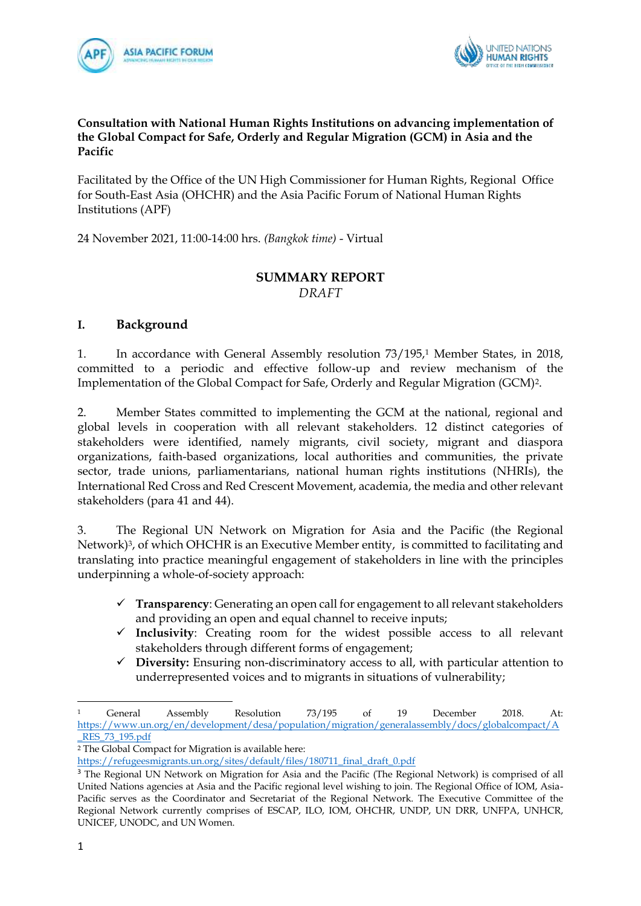



#### **Consultation with National Human Rights Institutions on advancing implementation of the Global Compact for Safe, Orderly and Regular Migration (GCM) in Asia and the Pacific**

Facilitated by the Office of the UN High Commissioner for Human Rights, Regional Office for South-East Asia (OHCHR) and the Asia Pacific Forum of National Human Rights Institutions (APF)

24 November 2021, 11:00-14:00 hrs. *(Bangkok time)* - Virtual

#### **SUMMARY REPORT** *DRAFT*

#### **I. Background**

1. In accordance with General Assembly resolution 73/195,<sup>1</sup> Member States, in 2018, committed to a periodic and effective follow-up and review mechanism of the Implementation of the Global Compact for Safe, Orderly and Regular Migration (GCM)2.

2. Member States committed to implementing the GCM at the national, regional and global levels in cooperation with all relevant stakeholders. 12 distinct categories of stakeholders were identified, namely migrants, civil society, migrant and diaspora organizations, faith-based organizations, local authorities and communities, the private sector, trade unions, parliamentarians, national human rights institutions (NHRIs), the International Red Cross and Red Crescent Movement, academia, the media and other relevant stakeholders (para 41 and 44).

3. The Regional UN Network on Migration for Asia and the Pacific (the Regional Network)<sup>3</sup>, of which OHCHR is an Executive Member entity, is committed to facilitating and translating into practice meaningful engagement of stakeholders in line with the principles underpinning a whole-of-society approach:

- ✓ **Transparency**: Generating an open call for engagement to all relevant stakeholders and providing an open and equal channel to receive inputs;
- ✓ **Inclusivity**: Creating room for the widest possible access to all relevant stakeholders through different forms of engagement;
- ✓ **Diversity:** Ensuring non-discriminatory access to all, with particular attention to underrepresented voices and to migrants in situations of vulnerability;

<sup>1</sup> General Assembly Resolution 73/195 of 19 December 2018. At: [https://www.un.org/en/development/desa/population/migration/generalassembly/docs/globalcompact/A](https://www.un.org/en/development/desa/population/migration/generalassembly/docs/globalcompact/A_RES_73_195.pdf) [\\_RES\\_73\\_195.pdf](https://www.un.org/en/development/desa/population/migration/generalassembly/docs/globalcompact/A_RES_73_195.pdf)

<sup>&</sup>lt;sup>2</sup> The Global Compact for Migration is available here:

[https://refugeesmigrants.un.org/sites/default/files/180711\\_final\\_draft\\_0.pdf](https://refugeesmigrants.un.org/sites/default/files/180711_final_draft_0.pdf)

<sup>&</sup>lt;sup>3</sup> The Regional UN Network on Migration for Asia and the Pacific (The Regional Network) is comprised of all United Nations agencies at Asia and the Pacific regional level wishing to join. The Regional Office of IOM, Asia-Pacific serves as the Coordinator and Secretariat of the Regional Network. The Executive Committee of the Regional Network currently comprises of ESCAP, ILO, IOM, OHCHR, UNDP, UN DRR, UNFPA, UNHCR, UNICEF, UNODC, and UN Women.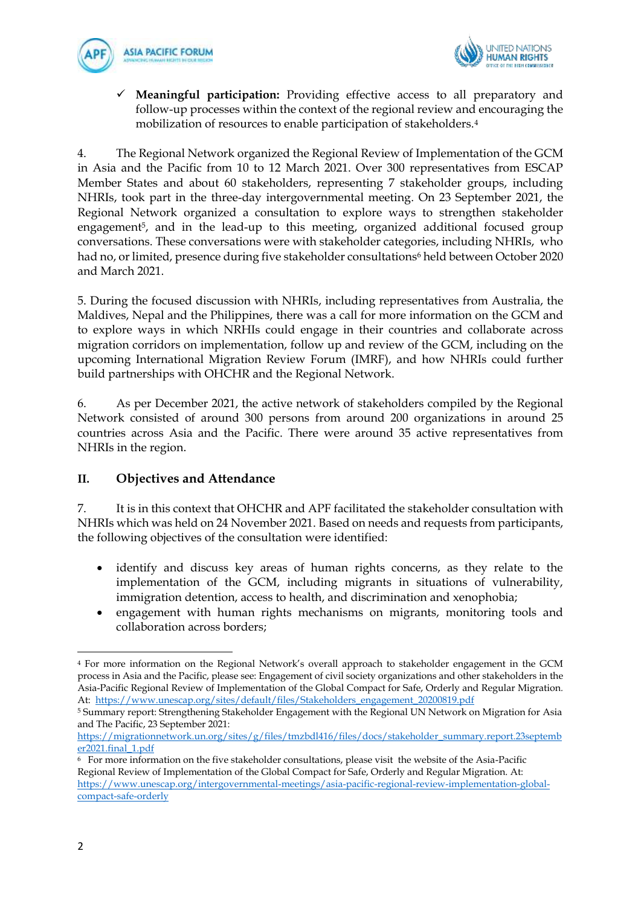



**Meaningful participation:** Providing effective access to all preparatory and follow-up processes within the context of the regional review and encouraging the mobilization of resources to enable participation of stakeholders.<sup>4</sup>

4. The Regional Network organized the Regional Review of Implementation of the GCM in Asia and the Pacific from 10 to 12 March 2021. Over 300 representatives from ESCAP Member States and about 60 stakeholders, representing 7 stakeholder groups, including NHRIs, took part in the three-day intergovernmental meeting. On 23 September 2021, the Regional Network organized a consultation to explore ways to strengthen stakeholder engagement <sup>5</sup>, and in the lead-up to this meeting, organized additional focused group conversations. These conversations were with stakeholder categories, including NHRIs, who had no, or limited, presence during five stakeholder consultations<sup>6</sup> held between October 2020 and March 2021.

5. During the focused discussion with NHRIs, including representatives from Australia, the Maldives, Nepal and the Philippines, there was a call for more information on the GCM and to explore ways in which NRHIs could engage in their countries and collaborate across migration corridors on implementation, follow up and review of the GCM, including on the upcoming International Migration Review Forum (IMRF), and how NHRIs could further build partnerships with OHCHR and the Regional Network.

6. As per December 2021, the active network of stakeholders compiled by the Regional Network consisted of around 300 persons from around 200 organizations in around 25 countries across Asia and the Pacific. There were around 35 active representatives from NHRIs in the region.

#### **II. Objectives and Attendance**

7. It is in this context that OHCHR and APF facilitated the stakeholder consultation with NHRIs which was held on 24 November 2021. Based on needs and requests from participants, the following objectives of the consultation were identified:

- identify and discuss key areas of human rights concerns, as they relate to the implementation of the GCM, including migrants in situations of vulnerability, immigration detention, access to health, and discrimination and xenophobia;
- engagement with human rights mechanisms on migrants, monitoring tools and collaboration across borders;

<sup>4</sup> For more information on the Regional Network's overall approach to stakeholder engagement in the GCM process in Asia and the Pacific, please see: Engagement of civil society organizations and other stakeholders in the Asia-Pacific Regional Review of Implementation of the Global Compact for Safe, Orderly and Regular Migration*.*  At: [https://www.unescap.org/sites/default/files/Stakeholders\\_engagement\\_20200819.pdf](https://www.unescap.org/sites/default/files/Stakeholders_engagement_20200819.pdf)

<sup>5</sup> Summary report: Strengthening Stakeholder Engagement with the Regional UN Network on Migration for Asia and The Pacific, 23 September 2021:

[https://migrationnetwork.un.org/sites/g/files/tmzbdl416/files/docs/stakeholder\\_summary.report.23septemb](https://migrationnetwork.un.org/sites/g/files/tmzbdl416/files/docs/stakeholder_summary.report.23september2021.final_1.pdf) [er2021.final\\_1.pdf](https://migrationnetwork.un.org/sites/g/files/tmzbdl416/files/docs/stakeholder_summary.report.23september2021.final_1.pdf)

<sup>6</sup> For more information on the five stakeholder consultations, please visit the website of the Asia-Pacific Regional Review of Implementation of the Global Compact for Safe, Orderly and Regular Migration. At: [https://www.unescap.org/intergovernmental-meetings/asia-pacific-regional-review-implementation-global](https://www.unescap.org/intergovernmental-meetings/asia-pacific-regional-review-implementation-global-compact-safe-orderly)[compact-safe-orderly](https://www.unescap.org/intergovernmental-meetings/asia-pacific-regional-review-implementation-global-compact-safe-orderly)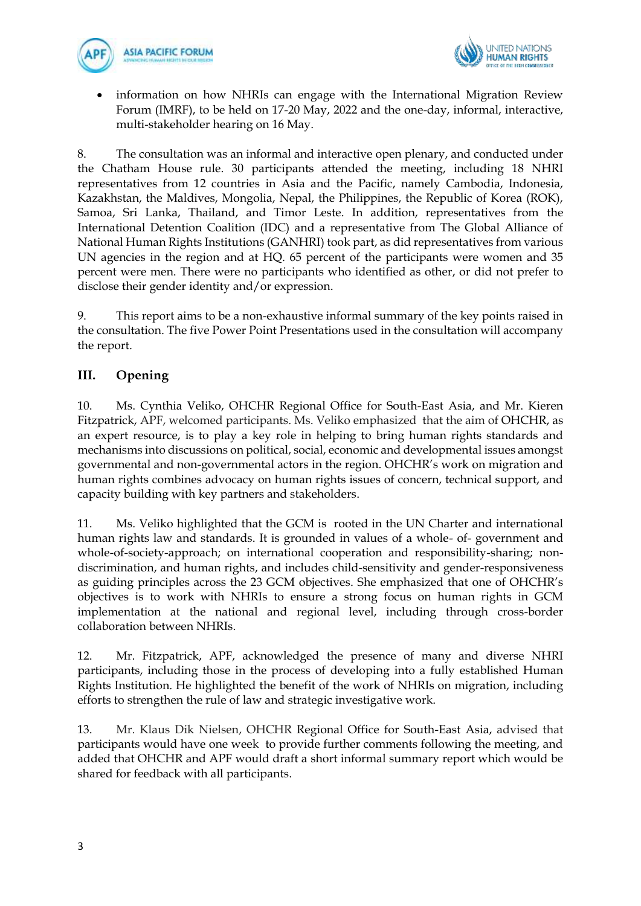



• information on how NHRIs can engage with the International Migration Review Forum (IMRF), to be held on 17-20 May, 2022 and the one-day, informal, interactive, multi-stakeholder hearing on 16 May.

8. The consultation was an informal and interactive open plenary, and conducted under the Chatham House rule. 30 participants attended the meeting, including 18 NHRI representatives from 12 countries in Asia and the Pacific, namely Cambodia, Indonesia, Kazakhstan, the Maldives, Mongolia, Nepal, the Philippines, the Republic of Korea (ROK), Samoa, Sri Lanka, Thailand, and Timor Leste. In addition, representatives from the International Detention Coalition (IDC) and a representative from The Global Alliance of National Human Rights Institutions (GANHRI) took part, as did representatives from various UN agencies in the region and at HQ. 65 percent of the participants were women and 35 percent were men. There were no participants who identified as other, or did not prefer to disclose their gender identity and/or expression.

9. This report aims to be a non-exhaustive informal summary of the key points raised in the consultation. The five Power Point Presentations used in the consultation will accompany the report.

## **III. Opening**

10. Ms. Cynthia Veliko, OHCHR Regional Office for South-East Asia, and Mr. Kieren Fitzpatrick, APF, welcomed participants. Ms. Veliko emphasized that the aim of OHCHR, as an expert resource, is to play a key role in helping to bring human rights standards and mechanisms into discussions on political, social, economic and developmental issues amongst governmental and non-governmental actors in the region. OHCHR's work on migration and human rights combines advocacy on human rights issues of concern, technical support, and capacity building with key partners and stakeholders.

11. Ms. Veliko highlighted that the GCM is rooted in the UN Charter and international human rights law and standards. It is grounded in values of a whole- of- government and whole-of-society-approach; on international cooperation and responsibility-sharing; nondiscrimination, and human rights, and includes child-sensitivity and gender-responsiveness as guiding principles across the 23 GCM objectives. She emphasized that one of OHCHR's objectives is to work with NHRIs to ensure a strong focus on human rights in GCM implementation at the national and regional level, including through cross-border collaboration between NHRIs.

12. Mr. Fitzpatrick, APF, acknowledged the presence of many and diverse NHRI participants, including those in the process of developing into a fully established Human Rights Institution. He highlighted the benefit of the work of NHRIs on migration, including efforts to strengthen the rule of law and strategic investigative work.

13. Mr. Klaus Dik Nielsen, OHCHR Regional Office for South-East Asia, advised that participants would have one week to provide further comments following the meeting, and added that OHCHR and APF would draft a short informal summary report which would be shared for feedback with all participants.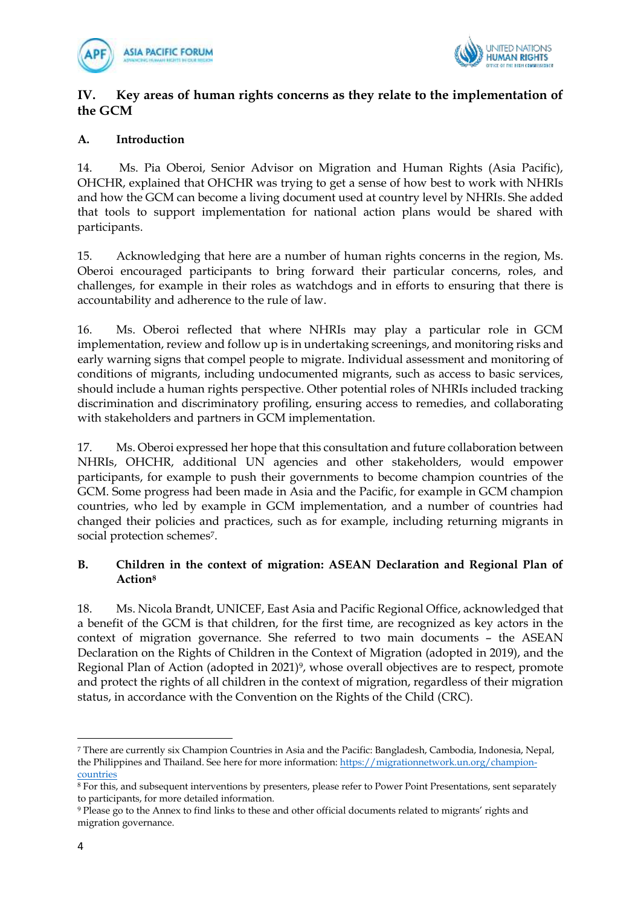



#### **IV. Key areas of human rights concerns as they relate to the implementation of the GCM**

#### **A. Introduction**

14. Ms. Pia Oberoi, Senior Advisor on Migration and Human Rights (Asia Pacific), OHCHR, explained that OHCHR was trying to get a sense of how best to work with NHRIs and how the GCM can become a living document used at country level by NHRIs. She added that tools to support implementation for national action plans would be shared with participants.

15. Acknowledging that here are a number of human rights concerns in the region, Ms. Oberoi encouraged participants to bring forward their particular concerns, roles, and challenges, for example in their roles as watchdogs and in efforts to ensuring that there is accountability and adherence to the rule of law.

16. Ms. Oberoi reflected that where NHRIs may play a particular role in GCM implementation, review and follow up is in undertaking screenings, and monitoring risks and early warning signs that compel people to migrate. Individual assessment and monitoring of conditions of migrants, including undocumented migrants, such as access to basic services, should include a human rights perspective. Other potential roles of NHRIs included tracking discrimination and discriminatory profiling, ensuring access to remedies, and collaborating with stakeholders and partners in GCM implementation.

17. Ms. Oberoi expressed her hope that this consultation and future collaboration between NHRIs, OHCHR, additional UN agencies and other stakeholders, would empower participants, for example to push their governments to become champion countries of the GCM. Some progress had been made in Asia and the Pacific, for example in GCM champion countries, who led by example in GCM implementation, and a number of countries had changed their policies and practices, such as for example, including returning migrants in social protection schemes<sup>7</sup>.

#### **B. Children in the context of migration: ASEAN Declaration and Regional Plan of Action<sup>8</sup>**

18. Ms. Nicola Brandt, UNICEF, East Asia and Pacific Regional Office, acknowledged that a benefit of the GCM is that children, for the first time, are recognized as key actors in the context of migration governance. She referred to two main documents – the ASEAN Declaration on the Rights of Children in the Context of Migration (adopted in 2019), and the Regional Plan of Action (adopted in 2021)<sup>9</sup>, whose overall objectives are to respect, promote and protect the rights of all children in the context of migration, regardless of their migration status, in accordance with the Convention on the Rights of the Child (CRC).

<sup>7</sup> There are currently six Champion Countries in Asia and the Pacific: Bangladesh, Cambodia, Indonesia, Nepal, the Philippines and Thailand. See here for more information: [https://migrationnetwork.un.org/champion](https://migrationnetwork.un.org/champion-countries)[countries](https://migrationnetwork.un.org/champion-countries)

<sup>8</sup> For this, and subsequent interventions by presenters, please refer to Power Point Presentations, sent separately to participants, for more detailed information.

<sup>9</sup> Please go to the Annex to find links to these and other official documents related to migrants' rights and migration governance.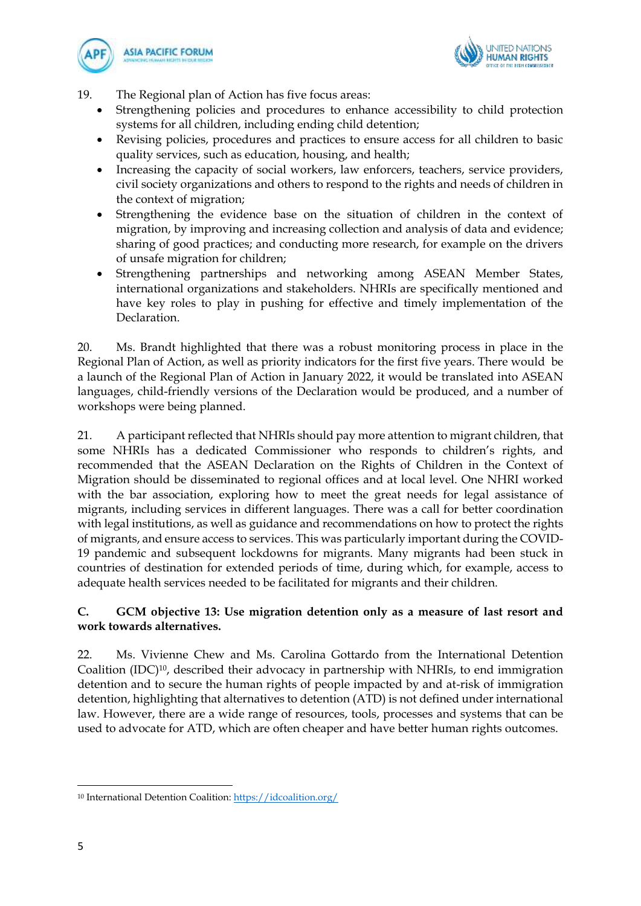



- 19. The Regional plan of Action has five focus areas:
	- Strengthening policies and procedures to enhance accessibility to child protection systems for all children, including ending child detention;
	- Revising policies, procedures and practices to ensure access for all children to basic quality services, such as education, housing, and health;
	- Increasing the capacity of social workers, law enforcers, teachers, service providers, civil society organizations and others to respond to the rights and needs of children in the context of migration;
	- Strengthening the evidence base on the situation of children in the context of migration, by improving and increasing collection and analysis of data and evidence; sharing of good practices; and conducting more research, for example on the drivers of unsafe migration for children;
	- Strengthening partnerships and networking among ASEAN Member States, international organizations and stakeholders. NHRIs are specifically mentioned and have key roles to play in pushing for effective and timely implementation of the Declaration.

20. Ms. Brandt highlighted that there was a robust monitoring process in place in the Regional Plan of Action, as well as priority indicators for the first five years. There would be a launch of the Regional Plan of Action in January 2022, it would be translated into ASEAN languages, child-friendly versions of the Declaration would be produced, and a number of workshops were being planned.

21. A participant reflected that NHRIs should pay more attention to migrant children, that some NHRIs has a dedicated Commissioner who responds to children's rights, and recommended that the ASEAN Declaration on the Rights of Children in the Context of Migration should be disseminated to regional offices and at local level. One NHRI worked with the bar association, exploring how to meet the great needs for legal assistance of migrants, including services in different languages. There was a call for better coordination with legal institutions, as well as guidance and recommendations on how to protect the rights of migrants, and ensure access to services. This was particularly important during the COVID-19 pandemic and subsequent lockdowns for migrants. Many migrants had been stuck in countries of destination for extended periods of time, during which, for example, access to adequate health services needed to be facilitated for migrants and their children.

#### **C. GCM objective 13: Use migration detention only as a measure of last resort and work towards alternatives.**

22. Ms. Vivienne Chew and Ms. Carolina Gottardo from the International Detention Coalition (IDC)10, described their advocacy in partnership with NHRIs, to end immigration detention and to secure the human rights of people impacted by and at-risk of immigration detention, highlighting that alternatives to detention (ATD) is not defined under international law. However, there are a wide range of resources, tools, processes and systems that can be used to advocate for ATD, which are often cheaper and have better human rights outcomes.

<sup>10</sup> International Detention Coalition:<https://idcoalition.org/>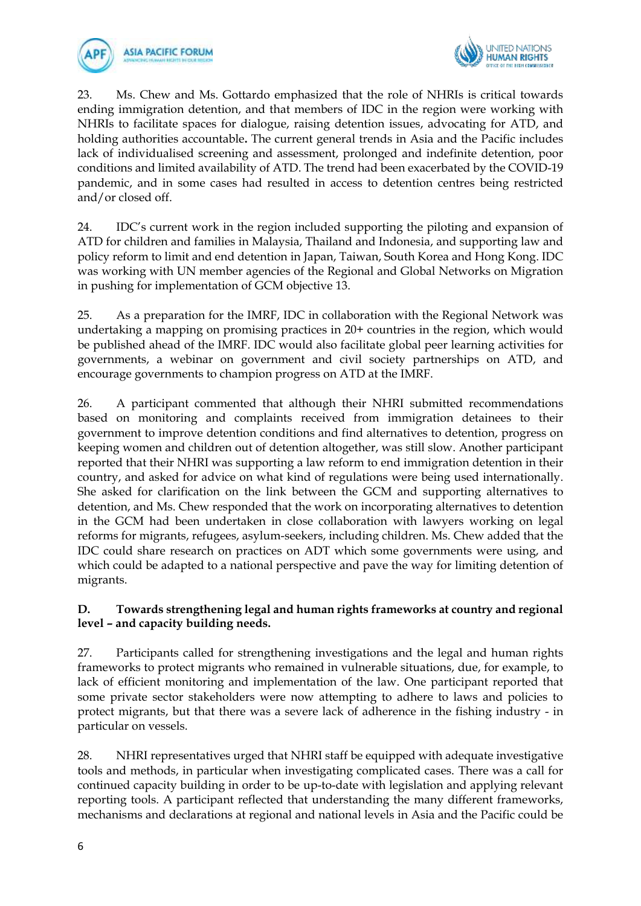



23. Ms. Chew and Ms. Gottardo emphasized that the role of NHRIs is critical towards ending immigration detention, and that members of IDC in the region were working with NHRIs to facilitate spaces for dialogue, raising detention issues, advocating for ATD, and holding authorities accountable**.** The current general trends in Asia and the Pacific includes lack of individualised screening and assessment, prolonged and indefinite detention, poor conditions and limited availability of ATD. The trend had been exacerbated by the COVID-19 pandemic, and in some cases had resulted in access to detention centres being restricted and/or closed off.

24. IDC's current work in the region included supporting the piloting and expansion of ATD for children and families in Malaysia, Thailand and Indonesia, and supporting law and policy reform to limit and end detention in Japan, Taiwan, South Korea and Hong Kong. IDC was working with UN member agencies of the Regional and Global Networks on Migration in pushing for implementation of GCM objective 13.

25. As a preparation for the IMRF, IDC in collaboration with the Regional Network was undertaking a mapping on promising practices in 20+ countries in the region, which would be published ahead of the IMRF. IDC would also facilitate global peer learning activities for governments, a webinar on government and civil society partnerships on ATD, and encourage governments to champion progress on ATD at the IMRF.

26. A participant commented that although their NHRI submitted recommendations based on monitoring and complaints received from immigration detainees to their government to improve detention conditions and find alternatives to detention, progress on keeping women and children out of detention altogether, was still slow. Another participant reported that their NHRI was supporting a law reform to end immigration detention in their country, and asked for advice on what kind of regulations were being used internationally. She asked for clarification on the link between the GCM and supporting alternatives to detention, and Ms. Chew responded that the work on incorporating alternatives to detention in the GCM had been undertaken in close collaboration with lawyers working on legal reforms for migrants, refugees, asylum-seekers, including children. Ms. Chew added that the IDC could share research on practices on ADT which some governments were using, and which could be adapted to a national perspective and pave the way for limiting detention of migrants.

#### **D. Towards strengthening legal and human rights frameworks at country and regional level – and capacity building needs.**

27. Participants called for strengthening investigations and the legal and human rights frameworks to protect migrants who remained in vulnerable situations, due, for example, to lack of efficient monitoring and implementation of the law. One participant reported that some private sector stakeholders were now attempting to adhere to laws and policies to protect migrants, but that there was a severe lack of adherence in the fishing industry - in particular on vessels.

28. NHRI representatives urged that NHRI staff be equipped with adequate investigative tools and methods, in particular when investigating complicated cases. There was a call for continued capacity building in order to be up-to-date with legislation and applying relevant reporting tools. A participant reflected that understanding the many different frameworks, mechanisms and declarations at regional and national levels in Asia and the Pacific could be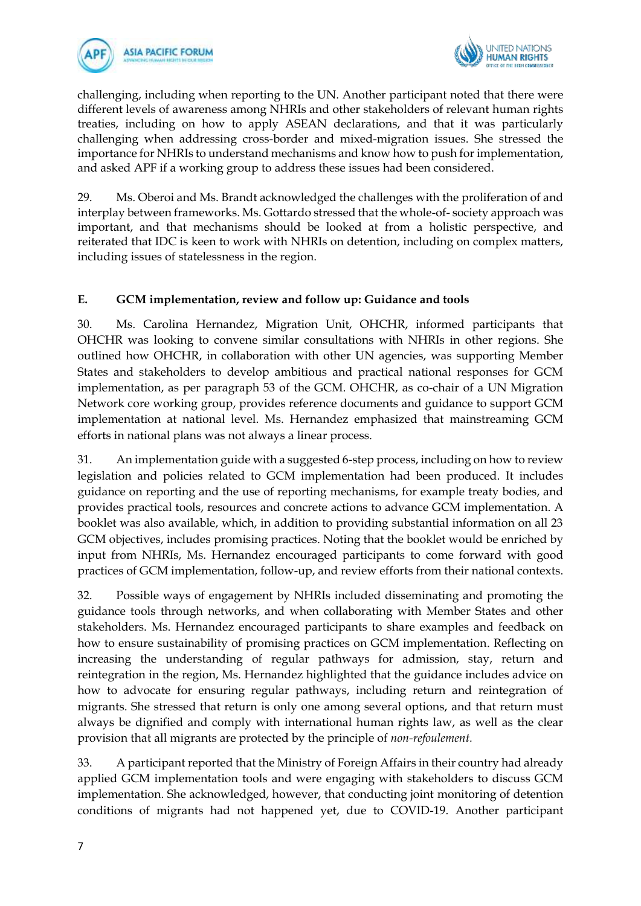



challenging, including when reporting to the UN. Another participant noted that there were different levels of awareness among NHRIs and other stakeholders of relevant human rights treaties, including on how to apply ASEAN declarations, and that it was particularly challenging when addressing cross-border and mixed-migration issues. She stressed the importance for NHRIs to understand mechanisms and know how to push for implementation, and asked APF if a working group to address these issues had been considered.

29. Ms. Oberoi and Ms. Brandt acknowledged the challenges with the proliferation of and interplay between frameworks. Ms. Gottardo stressed that the whole-of- society approach was important, and that mechanisms should be looked at from a holistic perspective, and reiterated that IDC is keen to work with NHRIs on detention, including on complex matters, including issues of statelessness in the region.

#### **E. GCM implementation, review and follow up: Guidance and tools**

30. Ms. Carolina Hernandez, Migration Unit, OHCHR, informed participants that OHCHR was looking to convene similar consultations with NHRIs in other regions. She outlined how OHCHR, in collaboration with other UN agencies, was supporting Member States and stakeholders to develop ambitious and practical national responses for GCM implementation, as per paragraph 53 of the GCM. OHCHR, as co-chair of a UN Migration Network core working group, provides reference documents and guidance to support GCM implementation at national level. Ms. Hernandez emphasized that mainstreaming GCM efforts in national plans was not always a linear process.

31. An implementation guide with a suggested 6-step process, including on how to review legislation and policies related to GCM implementation had been produced. It includes guidance on reporting and the use of reporting mechanisms, for example treaty bodies, and provides practical tools, resources and concrete actions to advance GCM implementation. A booklet was also available, which, in addition to providing substantial information on all 23 GCM objectives, includes promising practices. Noting that the booklet would be enriched by input from NHRIs, Ms. Hernandez encouraged participants to come forward with good practices of GCM implementation, follow-up, and review efforts from their national contexts.

32. Possible ways of engagement by NHRIs included disseminating and promoting the guidance tools through networks, and when collaborating with Member States and other stakeholders. Ms. Hernandez encouraged participants to share examples and feedback on how to ensure sustainability of promising practices on GCM implementation. Reflecting on increasing the understanding of regular pathways for admission, stay, return and reintegration in the region, Ms. Hernandez highlighted that the guidance includes advice on how to advocate for ensuring regular pathways, including return and reintegration of migrants. She stressed that return is only one among several options, and that return must always be dignified and comply with international human rights law, as well as the clear provision that all migrants are protected by the principle of *non-refoulement.*

33. A participant reported that the Ministry of Foreign Affairs in their country had already applied GCM implementation tools and were engaging with stakeholders to discuss GCM implementation. She acknowledged, however, that conducting joint monitoring of detention conditions of migrants had not happened yet, due to COVID-19. Another participant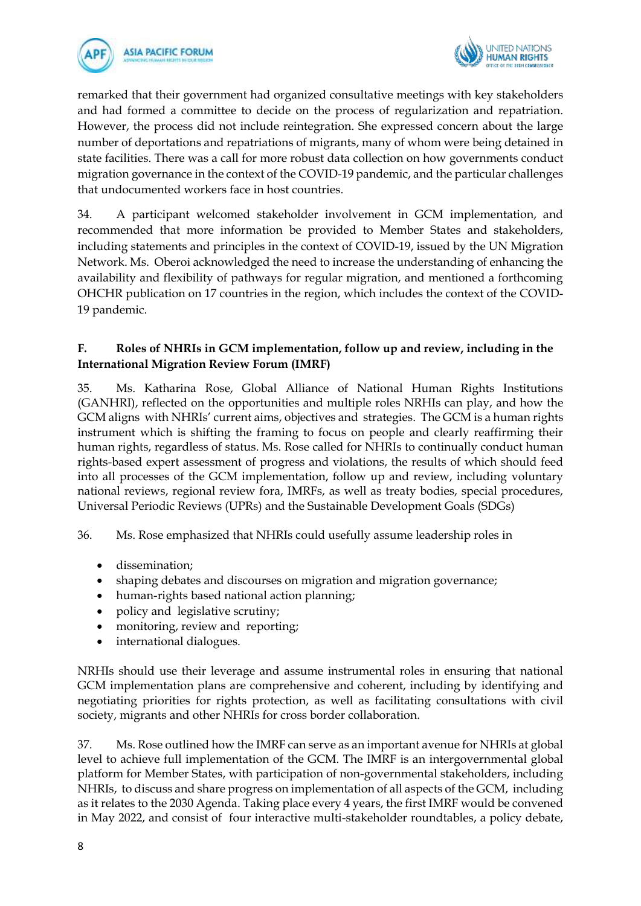



remarked that their government had organized consultative meetings with key stakeholders and had formed a committee to decide on the process of regularization and repatriation. However, the process did not include reintegration. She expressed concern about the large number of deportations and repatriations of migrants, many of whom were being detained in state facilities. There was a call for more robust data collection on how governments conduct migration governance in the context of the COVID-19 pandemic, and the particular challenges that undocumented workers face in host countries.

34. A participant welcomed stakeholder involvement in GCM implementation, and recommended that more information be provided to Member States and stakeholders, including statements and principles in the context of COVID-19, issued by the UN Migration Network. Ms. Oberoi acknowledged the need to increase the understanding of enhancing the availability and flexibility of pathways for regular migration, and mentioned a forthcoming OHCHR publication on 17 countries in the region, which includes the context of the COVID-19 pandemic.

#### **F. Roles of NHRIs in GCM implementation, follow up and review, including in the International Migration Review Forum (IMRF)**

35. Ms. Katharina Rose, Global Alliance of National Human Rights Institutions (GANHRI), reflected on the opportunities and multiple roles NRHIs can play, and how the GCM aligns with NHRIs' current aims, objectives and strategies. The GCM is a human rights instrument which is shifting the framing to focus on people and clearly reaffirming their human rights, regardless of status. Ms. Rose called for NHRIs to continually conduct human rights-based expert assessment of progress and violations, the results of which should feed into all processes of the GCM implementation, follow up and review, including voluntary national reviews, regional review fora, IMRFs, as well as treaty bodies, special procedures, Universal Periodic Reviews (UPRs) and the Sustainable Development Goals (SDGs)

36. Ms. Rose emphasized that NHRIs could usefully assume leadership roles in

- dissemination;
- shaping debates and discourses on migration and migration governance;
- human-rights based national action planning;
- policy and legislative scrutiny;
- monitoring, review and reporting;
- international dialogues.

NRHIs should use their leverage and assume instrumental roles in ensuring that national GCM implementation plans are comprehensive and coherent, including by identifying and negotiating priorities for rights protection, as well as facilitating consultations with civil society, migrants and other NHRIs for cross border collaboration.

37. Ms. Rose outlined how the IMRF can serve as an important avenue for NHRIs at global level to achieve full implementation of the GCM. The IMRF is an intergovernmental global platform for Member States, with participation of non-governmental stakeholders, including NHRIs, to discuss and share progress on implementation of all aspects of the GCM, including as it relates to the 2030 Agenda. Taking place every 4 years, the first IMRF would be convened in May 2022, and consist of four interactive multi-stakeholder roundtables, a policy debate,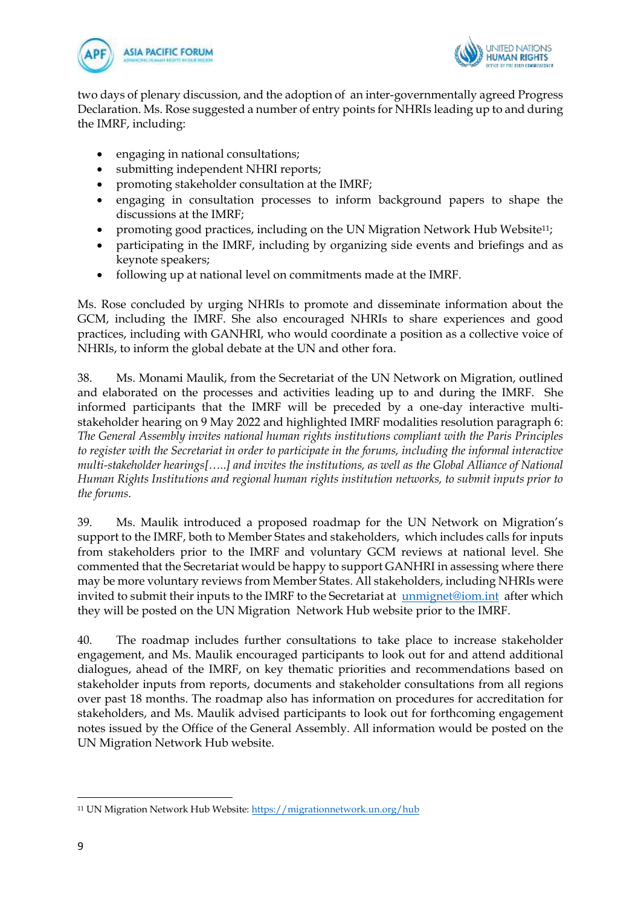



two days of plenary discussion, and the adoption of an inter-governmentally agreed Progress Declaration. Ms. Rose suggested a number of entry points for NHRIs leading up to and during the IMRF, including:

- engaging in national consultations;
- submitting independent NHRI reports;
- promoting stakeholder consultation at the IMRF;
- engaging in consultation processes to inform background papers to shape the discussions at the IMRF;
- promoting good practices, including on the UN Migration Network Hub Website11;
- participating in the IMRF, including by organizing side events and briefings and as keynote speakers;
- following up at national level on commitments made at the IMRF.

Ms. Rose concluded by urging NHRIs to promote and disseminate information about the GCM, including the IMRF. She also encouraged NHRIs to share experiences and good practices, including with GANHRI, who would coordinate a position as a collective voice of NHRIs, to inform the global debate at the UN and other fora.

38. Ms. Monami Maulik, from the Secretariat of the UN Network on Migration, outlined and elaborated on the processes and activities leading up to and during the IMRF. She informed participants that the IMRF will be preceded by a one-day interactive multistakeholder hearing on 9 May 2022 and highlighted IMRF modalities resolution paragraph 6: *The General Assembly invites national human rights institutions compliant with the Paris Principles to register with the Secretariat in order to participate in the forums, including the informal interactive multi-stakeholder hearings[…..] and invites the institutions, as well as the Global Alliance of National Human Rights Institutions and regional human rights institution networks, to submit inputs prior to the forums.*

39. Ms. Maulik introduced a proposed roadmap for the UN Network on Migration's support to the IMRF, both to Member States and stakeholders, which includes calls for inputs from stakeholders prior to the IMRF and voluntary GCM reviews at national level. She commented that the Secretariat would be happy to support GANHRI in assessing where there may be more voluntary reviews from Member States. All stakeholders, including NHRIs were invited to submit their inputs to the IMRF to the Secretariat at [unmignet@iom.int](mailto:unmignet@iom.int) after which they will be posted on the UN Migration Network Hub website prior to the IMRF.

40. The roadmap includes further consultations to take place to increase stakeholder engagement, and Ms. Maulik encouraged participants to look out for and attend additional dialogues, ahead of the IMRF, on key thematic priorities and recommendations based on stakeholder inputs from reports, documents and stakeholder consultations from all regions over past 18 months. The roadmap also has information on procedures for accreditation for stakeholders, and Ms. Maulik advised participants to look out for forthcoming engagement notes issued by the Office of the General Assembly. All information would be posted on the UN Migration Network Hub website.

<sup>11</sup> UN Migration Network Hub Website[: https://migrationnetwork.un.org/hub](https://migrationnetwork.un.org/hub)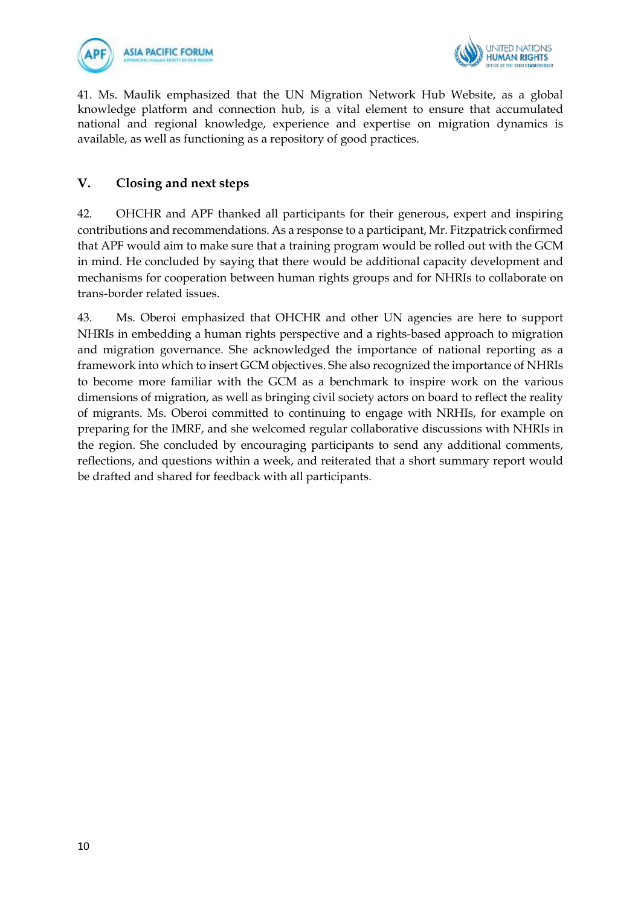



41. Ms. Maulik emphasized that the UN Migration Network Hub Website, as a global knowledge platform and connection hub, is a vital element to ensure that accumulated national and regional knowledge, experience and expertise on migration dynamics is available, as well as functioning as a repository of good practices.

### **V. Closing and next steps**

42. OHCHR and APF thanked all participants for their generous, expert and inspiring contributions and recommendations. As a response to a participant, Mr. Fitzpatrick confirmed that APF would aim to make sure that a training program would be rolled out with the GCM in mind. He concluded by saying that there would be additional capacity development and mechanisms for cooperation between human rights groups and for NHRIs to collaborate on trans-border related issues.

43. Ms. Oberoi emphasized that OHCHR and other UN agencies are here to support NHRIs in embedding a human rights perspective and a rights-based approach to migration and migration governance. She acknowledged the importance of national reporting as a framework into which to insert GCM objectives. She also recognized the importance of NHRIs to become more familiar with the GCM as a benchmark to inspire work on the various dimensions of migration, as well as bringing civil society actors on board to reflect the reality of migrants. Ms. Oberoi committed to continuing to engage with NRHIs, for example on preparing for the IMRF, and she welcomed regular collaborative discussions with NHRIs in the region. She concluded by encouraging participants to send any additional comments, reflections, and questions within a week, and reiterated that a short summary report would be drafted and shared for feedback with all participants.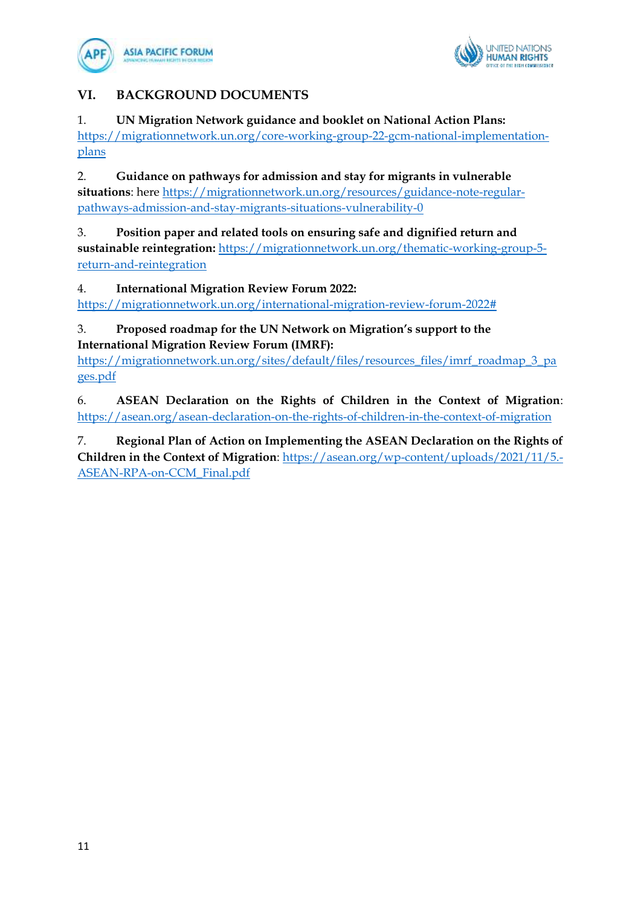



## **VI. BACKGROUND DOCUMENTS**

### 1. **UN Migration Network guidance and booklet on National Action Plans:**

https://migrationnetwork.un.org/core-working-group-22-gcm-national-implementationplans

2. **Guidance on pathways for admission and stay for migrants in vulnerable situations**: here [https://migrationnetwork.un.org/resources/guidance-note-regular](https://migrationnetwork.un.org/resources/guidance-note-regular-pathways-admission-and-stay-migrants-situations-vulnerability-0)[pathways-admission-and-stay-migrants-situations-vulnerability-0](https://migrationnetwork.un.org/resources/guidance-note-regular-pathways-admission-and-stay-migrants-situations-vulnerability-0)

3. **Position paper and related tools on ensuring safe and dignified return and sustainable reintegration:** [https://migrationnetwork.un.org/thematic-working-group-5](https://migrationnetwork.un.org/thematic-working-group-5-return-and-reintegration) [return-and-reintegration](https://migrationnetwork.un.org/thematic-working-group-5-return-and-reintegration)

4. **International Migration Review Forum 2022:** 

[https://migrationnetwork.un.org/international-migration-review-forum-2022#](https://migrationnetwork.un.org/international-migration-review-forum-2022)

## 3. **Proposed roadmap for the UN Network on Migration's support to the International Migration Review Forum (IMRF):**

[https://migrationnetwork.un.org/sites/default/files/resources\\_files/imrf\\_roadmap\\_3\\_pa](https://migrationnetwork.un.org/sites/default/files/resources_files/imrf_roadmap_3_pages.pdf) [ges.pdf](https://migrationnetwork.un.org/sites/default/files/resources_files/imrf_roadmap_3_pages.pdf)

6. **ASEAN Declaration on the Rights of Children in the Context of Migration**: <https://asean.org/asean-declaration-on-the-rights-of-children-in-the-context-of-migration>

7. **Regional Plan of Action on Implementing the ASEAN Declaration on the Rights of Children in the Context of Migration**: [https://asean.org/wp-content/uploads/2021/11/5.-](https://asean.org/wp-content/uploads/2021/11/5.-ASEAN-RPA-on-CCM_Final.pdf) [ASEAN-RPA-on-CCM\\_Final.pdf](https://asean.org/wp-content/uploads/2021/11/5.-ASEAN-RPA-on-CCM_Final.pdf)